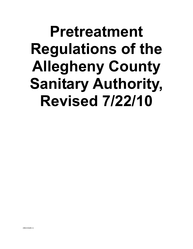# **Pretreatment Regulations of the Allegheny County Sanitary Authority, Revised 7/22/10**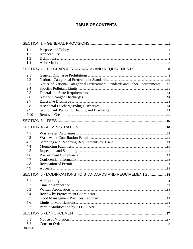# **TABLE OF CONTENTS**

| 1.1            |                                                                                |  |
|----------------|--------------------------------------------------------------------------------|--|
| 1.2            |                                                                                |  |
| 1.3            |                                                                                |  |
| 1.4            |                                                                                |  |
|                |                                                                                |  |
| 2.1            |                                                                                |  |
| 2.2            |                                                                                |  |
| 2.3            | Notice of National Categorical Pretreatment Standards and Other Requirements11 |  |
| 2.4            |                                                                                |  |
| 2.5            |                                                                                |  |
| 2.6            |                                                                                |  |
| 2.7            |                                                                                |  |
| 2.8            |                                                                                |  |
| 2.9            |                                                                                |  |
| 2.10           |                                                                                |  |
|                |                                                                                |  |
|                |                                                                                |  |
| 4.1            |                                                                                |  |
| 4.2            |                                                                                |  |
| 4.3            |                                                                                |  |
| 4.4            |                                                                                |  |
| 4.5            |                                                                                |  |
| 4.6            |                                                                                |  |
| 4.7            |                                                                                |  |
| 4.8            |                                                                                |  |
| 4.9            |                                                                                |  |
|                | SECTION 5 - MODIFICATIONS TO STANDARDS AND REQUIREMENTS34                      |  |
| 5.1            |                                                                                |  |
| 5.2            |                                                                                |  |
| 5.3            |                                                                                |  |
| 5.4            |                                                                                |  |
| 5.5            |                                                                                |  |
| 5.6            |                                                                                |  |
| 5.7            |                                                                                |  |
|                |                                                                                |  |
| 6.1            |                                                                                |  |
| 6.2            |                                                                                |  |
| ${BO210449.1}$ |                                                                                |  |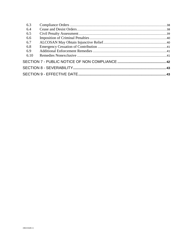| 6.3  |  |
|------|--|
| 6.4  |  |
| 6.5  |  |
| 6.6  |  |
| 6.7  |  |
| 6.8  |  |
| 6.9  |  |
| 6.10 |  |
|      |  |
|      |  |
|      |  |
|      |  |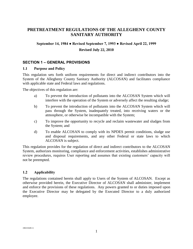# **PRETREATMENT REGULATIONS OF THE ALLEGHENY COUNTY SANITARY AUTHORITY**

#### **September 14, 1984 ● Revised September 7, 1993 ● Revised April 22, 1999**

#### **Revised July 22, 2010**

#### <span id="page-3-0"></span>**SECTION 1 – GENERAL PROVISIONS**

#### <span id="page-3-1"></span>**1.1 Purpose and Policy**

This regulation sets forth uniform requirements for direct and indirect contributors into the System of the Allegheny County Sanitary Authority (ALCOSAN) and facilitates compliance with applicable state and Federal laws and regulations.

The objectives of this regulation are:

- a) To prevent the introduction of pollutants into the ALCOSAN System which will interfere with the operation of the System or adversely affect the resulting sludge;
- b) To prevent the introduction of pollutants into the ALCOSAN System which will pass through the System, inadequately treated, into receiving waters or the atmosphere, or otherwise be incompatible with the System;
- c) To improve the opportunity to recycle and reclaim wastewater and sludges from the System; and
- d) To enable ALCOSAN to comply with its NPDES permit conditions, sludge use and disposal requirements, and any other Federal or state laws to which ALCOSAN is subject.

This regulation provides for the regulation of direct and indirect contributors to the ALCOSAN System, authorizes monitoring, compliance and enforcement activities, establishes administrative review procedures, requires User reporting and assumes that existing customers' capacity will not be preempted.

#### <span id="page-3-2"></span>**1.2 Applicability**

<span id="page-3-3"></span>The regulations contained herein shall apply to Users of the System of ALCOSAN. Except as otherwise provided herein, the Executive Director of ALCOSAN shall administer, implement and enforce the provisions of these regulations. Any powers granted to or duties imposed upon the Executive Director may be delegated by the Executed Director to a duly authorized employee.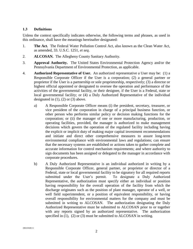#### **1.3 Definitions**

Unless the context specifically indicates otherwise, the following terms and phrases, as used in this ordinance, shall have the meanings hereinafter designated:

- 1. **The Act.** The Federal Water Pollution Control Act, also known as the Clean Water Act, as amended, 33. U.S.C. 1251, *et seq*.
- 2. **ALCOSAN.** The Allegheny County Sanitary Authority.
- 3. **Approval Authority.** The United States Environmental Protection Agency and/or the Pennsylvania Department of Environmental Protection, as applicable.
- 4. **Authorized Representative of User.** An authorized representative a User may be: (1) a Responsible Corporate Officer if the User is a corporation; (2) a general partner or proprietor if the User is a partnership or sole proprietorship, respectively; (3) a director or highest official appointed or designated to oversee the operation and performance of the activities of the governmental facility, or their designee, if the User is a Federal, state or local governmental facility; or (4) a Duly Authorized Representative of the individual designated in  $(1)$ ,  $(2)$  or  $(3)$  above.
	- a) A Responsible Corporate Officer means (i) the president, secretary, treasurer, or vice president of the corporation in charge of a principal business function, or other person who performs similar policy or decision making functions for the corporation; or (ii) the manager of one or more manufacturing, production, or operating facilities, provided, the manager is authorized to make management decisions which govern the operation of the regulated facility including having the explicit or implicit duty of making major capital investment recommendations and initiate and direct other comprehensive measures to assure long-term environmental compliance with environmental laws and regulations; can ensure that the necessary systems are established or actions taken to gather complete and accurate information for control mechanism requirements; and where authority to sign documents has been assigned or delegated to the manager in accordance with corporate procedures.
	- b) A Duly Authorized Representative is an individual authorized in writing by a Responsible Corporate Officer, general partner, or proprietor or director of a Federal, state or local governmental facility to be signatory for all required reports submitted under the User's permit. To designate a Duly Authorized Representative, the authorization must specify either an individual or position having responsibility for the overall operation of the facility from which the discharge originates such as the position of plant manager, operator of a well, or well field superintendent, or a position of equivalent responsibility, or having overall responsibility for environmental matters for the company and must be submitted in writing to ALCOSAN. The authorization designating the Duly Authorized Representative must be submitted to ALCOSAN prior to or together with any reports signed by an authorized representative. The authorization specified in (1), (2) or (3) must be submitted to ALCOSAN in writing.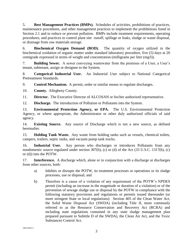5. **Best Management Practices (BMPs).** Schedules of activities, prohibitions of practices, maintenance procedures, and other management practices to implement the prohibitions listed in Section 2.1 and to reduce or prevent pollution. BMPs include treatment requirements, operating procedures, and practices to control plant site runoff, spillage or leaks, sludge or waste disposal, or drainage from raw materials storage.

6. **Biochemical Oxygen Demand (BOD).** The quantity of oxygen utilized in the biochemical oxidation of organic matter under standard laboratory procedure, five (5) days at 20 centigrade expressed in terms of weight and concentration (milligrams per liter (mg/l)).

7. **Building Sewer.** A sewer conveying wastewater from the premises of a User, a User's tenant, subtenant, assign or designee to the System.

8. **Categorical Industrial User.** An Industrial User subject to National Categorical Pretreatment Standards.

9. **Control Mechanism.** A permit, order or similar means to regulate discharges.

10. **County.** Allegheny County.

11. **Director.** The Executive Director of ALCOSAN or his/her authorized representative.

12. **Discharge.** The introduction of Pollution or Pollutants into the System.

13. **Environmental Protection Agency, or EPA.** The U.S. Environmental Protection Agency, or where appropriate, the Administrator or other duly authorized officials of said agency.

14. **Existing Source.** Any source of Discharge which is not a new source, as defined hereinafter.

15. **Holding Tank Waste.** Any waste from holding tanks such as vessels, chemical toilets, campers, trailers, septic tanks, and vacuum pump tank trucks.

16. **Industrial User.** Any person who discharges or introduces Pollutants from any nondomestic source regulated under section 307(b), (c) or (d) of the Act (33 U.S.C. 1317(b), (c) or (d)) into the POTW.

17. **Interference.** A discharge which, alone or in conjunction with a discharge or discharges from other sources, both:

- a) Inhibits or disrupts the POTW, its treatment processes or operations or its sludge processes, use or disposal; and
- b) Therefore is a cause of a violation of any requirement of the POTW's NPDES permit (including an increase in the magnitude or duration of a violation) or of the prevention of sewage sludge use or disposal by the POTW in compliance with the following statutory provisions and regulations or permits issued thereunder (or more stringent State or local regulations): Section 405 of the Clean Water Act, the Solid Waste Disposal Act (SWDA) (including Title II, more commonly referred to as the Resource Conservation and Recovery Act (RCRA) and including state regulations contained in any state sludge management plan prepared pursuant to Subtitle D of the SWDA), the Clean Air Act, and the Toxic Substances Control Act.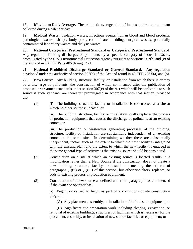18. **Maximum Daily Average.** The arithmetic average of all effluent samples for a pollutant collected during a calendar day.

19. **Medical Waste.** Isolation wastes, infectious agents, human blood and blood products, pathological wastes, sharps, body parts, contaminated bedding, surgical wastes, potentially contaminated laboratory wastes and dialysis wastes.

20. **National Categorical Pretreatment Standard or Categorical Pretreatment Standard.** Any regulation limiting discharges of pollutants by a specific category of Industrial Users, promulgated by the U.S. Environmental Protection Agency pursuant to sections 307(b) and (c) of the Act and in 40 CFR Parts 405 through 471.

21. **National Prohibited Discharge Standard or General Standard.** Any regulation developed under the authority of section 307(b) of the Act and found in 40 CFR 403.5(a) and (b).

22. **New Source.** Any building, structure, facility, or installation from which there is or may be a discharge of pollutants, the construction of which commenced after the publication of proposed pretreatment standards under section 307(c) of the Act which will be applicable to such source if such standards are thereafter promulgated in accordance with that section, provided that:

(1) (i) The building, structure, facility or installation is constructed at a site at which no other source is located; or

> (ii) The building, structure, facility or installation totally replaces the process or production equipment that causes the discharge of pollutants at an existing source; or

> (iii) The production or wastewater generating processes of the building, structure, facility or installation are substantially independent of an existing source at the same site. In determining whether these are substantially independent, factors such as the extent to which the new facility is integrated with the existing plant and the extent to which the new facility is engaged in the same general type of activity as the existing source should be considered.

- (2) Construction on a site at which an existing source is located results in a modification rather than a New Source if the construction does not create a new building, structure, facility or installation meeting the criteria of paragraphs  $(1)(ii)$  or  $(1)(iii)$  of this section, but otherwise alters, replaces, or adds to existing process or production equipment.
- (3) Construction of a new source as defined under this paragraph has commenced if the owner or operator has:

(i) Begun, or caused to begin as part of a continuous onsite construction program:

(A) Any placement, assembly, or installation of facilities or equipment; or

(B) Significant site preparation work including clearing, excavation, or removal of existing buildings, structures, or facilities which is necessary for the placement, assembly, or installation of new source facilities or equipment; or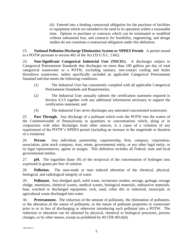(ii) Entered into a binding contractual obligation for the purchase of facilities or equipment which are intended to be used in its operation within a reasonable time. Options to purchase or contracts which can be terminated or modified without substantial loss, and contracts for feasibility, engineering, and design studies do not constitute a contractual obligation under this definition.

23. **National Pollution Discharge Elimination System or NPDES Permit.** A permit issued to a POTW pursuant to section 402 of the Act (33 U.S.C. 1342).

24. **Non-Significant Categorical Industrial User (NSCIU).** A discharger subject to Categorical Pretreatment Standards that discharges no more than 100 gallons per day of total categorical wastewater to a POTW, excluding sanitary, non-contact cooling and boiler blowdown wastewater, unless specifically included an applicable Categorical Pretreatment Standard and that meets the following conditions:

- (1) The Industrial User has consistently complied with all applicable Categorical Pretreatment Standards and Requirements;
- (2) The Industrial User annually submits the certification statement required in Section 4.3.5 together with any additional information necessary to support the certification statement; and
- (3) The Industrial User never discharges any untreated concentrated wastewater.

25. **Pass Through.** Any discharge of a pollutant which exits the POTW into the waters of the Commonwealth of Pennsylvania in quantities or concentrations which, along or in conjunction with other discharges from other sources, is a cause of a violation of any requirement of the POTW's NPDES permit (including an increase in the magnitude or duration of a violation).

26. **Person.** Any individual, partnership, copartnership, firm, company, corporation, association, joint stock company, trust, estate, governmental entity, or any other legal entity, or its legal representatives, agents or assigns. This definition includes all Federal, state and local governmental entities.

27. **pH.** The logarithm (base 10) of the reciprocal of the concentration of hydrogen ions expressed in grams per liter of solution

28. **Pollution.** The man-made or man induced alteration of the chemical, physical, biological, and radiological integrity of water.

29. **Pollutant.** Any dredged spoil, solid waste, incinerator residue, sewage, garbage, sewage sludge, munitions, chemical wastes, medical wastes, biological materials, radioactive materials, heat, wrecked or discharged equipment, rock, sand, cellar dirt or industrial, municipal, or agricultural waste discharged into water.

30. **Pretreatment.** The reduction of the amount of pollutants, the elimination of pollutants, or the alteration of the nature of pollutants, or the nature of pollutant properties in wastewater prior to or in lieu of discharging or otherwise introducing such pollutant into a POTW. The reduction or alteration can be obtained by physical, chemical or biological processes, process changes, or by other means, except as prohibited by 40 CFR 403.6(d).

{B0210449.1}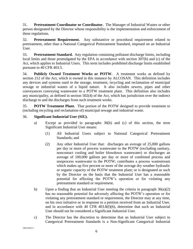31. **Pretreatment Coordinator or Coordinator.** The Manager of Industrial Wastes or other person designated by the Director whose responsibility is the implementation and enforcement of these regulations.

32. **Pretreatment Requirement.** Any substantive or procedural requirement related to pretreatment, other than a National Categorical Pretreatment Standard, imposed on an Industrial User.

33. **Pretreatment Standard.** Any regulation containing pollutant discharge limits, including local limits and those promulgated by the EPA in accordance with section 307(b) and (c) of the Act, which applies to Industrial Users. This term includes prohibited discharge limits established pursuant to 40 CFR 403.5.

34. **Publicly Owned Treatment Works or POTW.** A treatment works as defined by section 212 of the Act, which is owned in this instance by ALCOSAN. This definition includes any devices and systems used in the storage, treatment, recycling and reclamation of municipal sewage or industrial wastes of a liquid nature. It also includes sewers, pipes and other conveyances conveying wastewater to a POTW treatment plant. This definition also includes any municipality, as defined in section 502(4) of the Act, which has jurisdiction over the indirect discharge to and the discharges from such treatment works.

35. **POTW Treatment Plant.** That portion of the POTW designed to provide treatment to (including recycling and reclamation of) municipal sewage and industrial waste.

# 36. **Significant Industrial User (SIU).**

- a) Except as provided in paragraphs 36(b) and (c) of this section, the term Significant Industrial User means:
	- (1) All Industrial Users subject to National Categorical Pretreatment Standards; and
	- (2) Any other Industrial User that: discharges an average of 25,000 gallons per day or more of process wastewater to the POTW (excluding sanitary, noncontact cooling and boiler blowdown wastewater) or discharges an average of 100,000 gallons per day or more of combined process and nonprocess wastewater to the POTW; contributes a process wastestream which makes up five percent or more of the average dry weather hydraulic or organic capacity of the POTW treatment plant; or is designated as such by the Director on the basis that the Industrial User has a reasonable potential for affecting the POTW's operation or for violating any pretreatment standard or requirement.
- b) Upon a finding that an Industrial User meeting the criteria in paragraph 36(a)(2) has no reasonable potential for adversely affecting the POTW's operation or for violating any pretreatment standard or requirement, the Director may at any time, on his own initiative or in response to a petition received from an Industrial User, and in accordance with 40 CFR 403.8(f)(6), determine that such an Industrial User should not be considered a Significant Industrial User.
- c) The Director has the discretion to determine that an Industrial User subject to Categorical Pretreatment Standards is a Non-Significant Categorical Industrial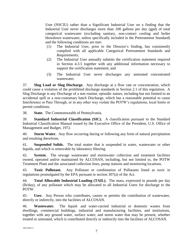User (NSCIU) rather than a Significant Industrial User on a finding that the Industrial User never discharges more than 100 gallons per day (gpd) of total categorical wastewater (excluding sanitary, non-contact cooling and boiler blowdown wastewater, unless specifically included in the Pretreatment Standard) and the following conditions are met:

- (1) The Industrial User, prior to the Director's finding, has consistently complied with all applicable Categorical Pretreatment Standards and Requirements;
- (2) The Industrial User annually submits the certification statement required in Section 4.3.5 together with any additional information necessary to support the certification statement; and
- (3) The Industrial User never discharges any untreated concentrated wastewater.

37. **Slug Load or Slug Discharge.** Any discharge at a flow rate or concentration, which could cause a violation of the prohibited discharge standards in Section 2.1 of this regulation. A Slug Discharge is any Discharge of a non routine, episodic nature, including but not limited to an accidental spill or a non-customary batch Discharge, which has a reasonable potential to cause Interference or Pass Through, or in any other way violate the POTW's regulations, local limits or permit conditions.

38. **State.** The Commonwealth of Pennsylvania.

39. **Standard Industrial Classification (SIC).** A classification pursuant to the Standard Industrial Classification Manual issued by the Executive Office of the President, U.S. Office of Management and Budget, 1972.

40. **Storm Water.** Any flow occurring during or following any form of natural precipitation and resulting therefrom.

41. **Suspended Solids.** The total matter that is suspended in water, wastewater or other liquids, and which is removable by laboratory filtering.

42. **System.** The sewage wastewater and stormwater collection and treatment facilities owned, operated and/or maintained by ALCOSAN, including, but not limited to, the POTW Treatment Plant and the associated collection lines, pump stations and monitoring locations.

43. **Toxic Pollutant.** Any Pollutant or combination of Pollutants listed as toxic in regulations promulgated by the EPA pursuant to section 307(a) of the Act.

44. **Total Allowable Industrial Loading (TAIL).** The mass, expressed in pounds per day (lb/day), of any pollutant which may be allocated to all Industrial Users for discharge to the POTW.

45. **User.** Any Person who contributes, causes or permits the contribution of wastewater, directly or indirectly, into the facilities of ALCOSAN.

46. **Wastewater.** The liquid- and water-carried industrial or domestic wastes from dwellings, commercial buildings, industrial and manufacturing facilities, and institutions, together with any ground water, surface water, and storm water that may be present, whether treated or untreated, which is contributed directly or indirectly into the facilities of ALCOSAN.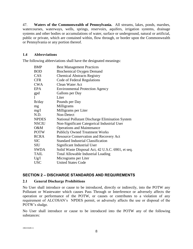47. **Waters of the Commonwealth of Pennsylvania.** All streams, lakes, ponds, marshes, watercourses, waterways, wells, springs, reservoirs, aquifers, irrigation systems, drainage systems and other bodies or accumulations of water, surface or underground, natural or artificial, public or private, which are contained within, flow through, or border upon the Commonwealth or Pennsylvania or any portion thereof.

#### <span id="page-10-0"></span>**1.4 Abbreviations**

The following abbreviations shall have the designated meanings:

| <b>BMP</b>   | <b>Best Management Practices</b>                  |
|--------------|---------------------------------------------------|
| <b>BOD</b>   | Biochemical Oxygen Demand                         |
| CAS          | <b>Chemical Abstracts Registry</b>                |
| <b>CFR</b>   | Code of Federal Regulations                       |
| <b>CWA</b>   | Clean Water Act                                   |
| EPA          | <b>Environmental Protection Agency</b>            |
| gpd          | Gallons per Day                                   |
| 1            | Liter                                             |
| lb/day       | Pounds per Day                                    |
| mg           | Milligrams                                        |
| mg/1         | Milligrams per Liter                              |
| N.D.         | Non-Detect                                        |
| <b>NPDES</b> | National Pollutant Discharge Elimination System   |
| <b>NSCIU</b> | Non-Significant Categorical Industrial User       |
| O&M          | <b>Operations and Maintenance</b>                 |
| <b>POTW</b>  | <b>Publicly Owned Treatment Works</b>             |
| <b>RCRA</b>  | Resource Conservation and Recovery Act            |
| <b>SIC</b>   | <b>Standard Industrial Classification</b>         |
| <b>SIU</b>   | Significant Industrial User                       |
| SWDA         | Solid Waste Disposal Act, 42 U.S.C. 6901, et seq. |
| <b>TAIL</b>  | <b>Total Allowable Industrial Loading</b>         |
| Ug/l         | Micrograms per Liter                              |
| <b>USC</b>   | <b>United States Code</b>                         |

# <span id="page-10-1"></span>**SECTION 2 – DISCHARGE STANDARDS AND REQUIREMENTS**

#### <span id="page-10-2"></span>**2.1 General Discharge Prohibitions**

No User shall introduce or cause to be introduced, directly or indirectly, into the POTW any Pollutant or Wastewater which causes Pass Through or Interference or adversely affects the operation or performance of the POTW, or causes or contributes to a violation of any requirement of ALCOSAN's NPDES permit, or adversely affects the use or disposal of the POTW's sludge.

No User shall introduce or cause to be introduced into the POTW any of the following substances: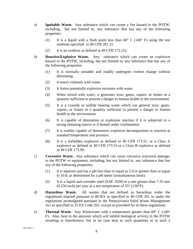- a) **Ignitable Waste.** Any substance which can create a fire hazard in the POTW, including, but not limited to, any substance that has any of the following properties:
	- (1) It is a liquid with a flash point less than  $60^{\circ}$  C (140 $^{\circ}$  F) using the test methods specified in 40 CFR 261.21.
	- (2) It is an oxidizer as defined in 49 CFR 173.151.
- b) **Reactive/Explosive Waste.** Any substance which can create an explosion hazard in the POTW, including, but not limited to, any substance that has any of the following properties
	- (1) It is normally unstable and readily undergoes violent change without detonating.
	- (2) It reacts violently with water.
	- (3) It forms potentially explosive mixtures with water.
	- (4) When mixed with water, it generates toxic gases, vapors, or fumes in a quantity sufficient to present a danger to human health or the environment.
	- (5) It is a cyanide or sulfide bearing waste which can general toxic gases, vapors, or fumes in a quantity sufficient to present a danger to human health or the environment.
	- (6) It is capable of detonation or explosion reaction if it is subjected to a strong initiating source or if heated under confinement.
	- (7) It is readily capable of detonation, explosive decomposition or reaction at standard temperature and pressure.
	- (8) It is a forbidden explosive as defined in 49 CFR 173.51, or a Class A explosive as defined in 49 CFR 173.53 or a Class B explosive as defined in 49 CFR 173.99.
- c) **Corrosive Waste.** Any substance which can cause corrosive structural damage, to the POTW or equipment, including, but not limited to, any substance that has any of the following properties:
	- (1) It is aqueous and has a pH less than or equal to 5.0 or greater than or equal to 10.0, as determined by a pH meter (instantaneous limit).
	- (2) It is a liquid and corrodes steel (SAE 1020) at a rate greater than 7.35 mm (0.250 inch) per year at a test temperature of 55° (130°F).
- d) **Hazardous Waste.** All wastes that are defined as hazardous under the regulations enacted pursuant to RCRA as specified in 40 CFR 261 or under the regulations promulgated pursuant to the Pennsylvania Solid Waste Management Act as specified in 25 PA Code 261, except as provided for in these regulations.
- e) **Thermal Waste.** Any Wastewater with a temperature greater than 60<sup>°</sup> C (140<sup>°</sup>) F). Also, heat in the amounts which will inhibit biological activity in the POTW resulting in Interference, but in no case heat in such quantities or at such a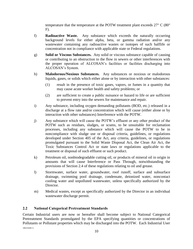temperature that the temperature at the POTW treatment plant exceeds  $27^{\circ}$  C (80 $^{\circ}$ ) F).

- f) **Radioactive Waste.** Any substance which exceeds the naturally occurring background levels for either alpha, beta, or gamma radiation and/or any wastewater containing any radioactive wastes or isotopes of such halflife or concentration not in compliance with applicable state or Federal regulations.
- g) **Solid or Viscous Substances.** Any solid or viscous substance capable of causing or contributing to an obstruction to the flow in sewers or other interferences with the proper operation of ALCOSAN's facilities or facilities discharging into ALCOSAN's System.
- h) **Malodorous/Noxious Substances.** Any substances or noxious or malodorous liquids, gases, or solids which either alone or by interaction with other substances:
	- (1) result in the presence of toxic gases, vapors, or fumes in a quantity that may cause acute worker health and safety problems; or
	- (2) are sufficient to create a public nuisance or hazard to life or are sufficient to prevent entry into the sewers for maintenance and repair.
- i) Any substance, including oxygen demanding pollutants (BOD, etc.) released in a discharge at a flow rate and/or concentration which will cause (either alone or by interaction with other substances) Interference with the POTW.
- j) Any substance which will cause the POTW's effluent or any other product of the POTW such as residues, sludges, or scums, to be unsuitable for reclamation processes, including any substance which will cause the POTW to be in noncompliance with sludge use or disposal criteria, guidelines, or regulations developed under Section 405 of the Act, any criteria, guidelines, or regulations promulgated pursuant to the Solid Waste Disposal Act, the Clean Air Act, the Toxic Substances Control Act or state laws or regulations applicable to the treatment or disposal of such effluent or such product.
- k) Petroleum oil, nonbiodegradable cutting oil, or products of mineral oil in origin in amounts that will cause Interference or Pass Through, notwithstanding the provisions of Section 2.4 of these regulations relating to oil and grease.
- l) Stormwater, surface water, groundwater, roof runoff, surface and subsurface drainage, swimming pool drainage, condensate, deionized water, noncontact cooling water and unpolluted wastewater, unless specifically authorized by the Director.
- m) Medical wastes, except as specifically authorized by the Director in an individual wastewater discharge permit.

# <span id="page-12-0"></span>**2.2 National Categorical Pretreatment Standards**

{B0210449.1} Certain Industrial users are now or hereafter shall become subject to National Categorical Pretreatment Standards promulgated by the EPA specifying quantities or concentrations of Pollutants or Pollutant properties which may be discharged into the POTW. Each Industrial User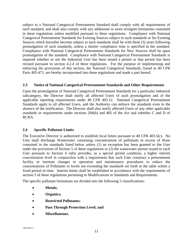subject to a National Categorical Pretreatment Standard shall comply with all requirements of such standard, and shall also comply with any additional or more stringent limitations contained in these regulations unless modified pursuant to these regulations. Compliance with National Categorical Pretreatment Standards for Existing Sources subject to such standards or for Existing Sources which hereafter become subject to such standards shall be with three (3) years following promulgation of such standards, unless a shorter compliance time is specified in the standard. Compliance with National Categorical Pretreatment Standards for New Sources shall be upon promulgation of the standard. Compliance with National Categorical Pretreatment Standards is required whether or not the Industrial User has been issued a permit or that permit has been revised pursuant to section 4.2.4 of these regulations. For the purpose of implementing and enforcing the provisions of this section, the National Categorical Standards, found in 40 CFR Parts 405-471, are hereby incorporated into these regulations and made a part hereof.

#### <span id="page-13-0"></span>**2.3 Notice of National Categorical Pretreatment Standards and Other Requirements**

Upon the promulgation of National Categorical Pretreatment Standards for a particular industrial subcategory, the Director shall notify all affected Users of such promulgation and of the applicable reporting requirements under 40 CFR 403.12. National Categorical Pretreatment Standards apply to all affected Users, and the Authority can enforce the standards even in the absence of the notification. The Director shall also notify affected Users of any other applicable standards or requirements under sections 204(b) and 405 of the Act and subtitles C and D of RCRA.

#### <span id="page-13-1"></span>**2.4 Specific Pollutant Limits**

The Executive Director is authorized to establish local limits pursuant to 40 CFR 403.5(c). No User shall discharge Wastewater containing concentrations of pollutants in excess of those contained in the standards listed below unless (1) an exception has been granted to the User under the provisions of Section 5 of these regulations or (2) the wastewater permit issued to such User pursuant to Section 4 *infra* provides, as a special permit condition, a higher interim concentration level in conjunction with a requirement that such User construct a pretreatment facility or institute changes in operation and maintenance procedures to reduce the concentrations of Pollutants to levels not exceeding the standards set forth in the table within a fixed period of time. Interim limits shall be established in accordance with the requirements of section 5 of these regulations pertaining to Modifications to Standards and Requirements.

The specific pollutant limitations are divided into the following 5 classifications:

- **Metals;**
- **Organics;**
- **Restricted Pollutants;**
- **Pass Through Protection Level; and**
- **Miscellaneous.**

{B0210449.1}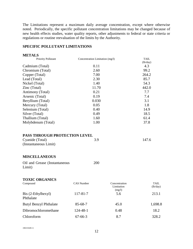The Limitations represent a maximum daily average concentration, except where otherwise noted. Periodically, the specific pollutant concentration limitations may be changed because of new health effects studies, water quality reports, other adjustments to federal or state criteria or regulations or routine reevaluation of the limits by the Authority.

#### **SPECIFIC POLLUTANT LIMITATIONS**

| <b>METALS</b>                                                             |                                 |                                       |                  |
|---------------------------------------------------------------------------|---------------------------------|---------------------------------------|------------------|
| Priority Pollutant                                                        | Concentration Limitation (mg/l) |                                       | TAIL.            |
| Cadmium (Total)                                                           | 0.11                            |                                       | (lb/day)<br>4.3  |
| Chromium (Total)                                                          | 2.60                            |                                       | 99.2             |
| Copper (Total)                                                            | 7.00                            |                                       | 264.2            |
| Lead (Total)                                                              | 2.30                            |                                       | 85.7             |
| Nickel (Total)                                                            | 1.40                            |                                       | 54.3             |
| Zinc (Total)                                                              | 11.70                           |                                       | 442.0            |
| Antimony (Total)                                                          | 0.21                            |                                       | 7.7              |
| Arsenic (Total)                                                           | 0.19                            |                                       | 7.4              |
| Beryllium (Total)                                                         | 0.030                           |                                       | 3.1              |
| Mercury (Total)                                                           | 0.05                            |                                       | 1.8              |
| Selenium (Total)                                                          | 0.40                            |                                       | 14.9             |
| Silver (Total)                                                            | 0.49                            |                                       | 18.5             |
| Thallium (Total)                                                          | 1.60                            |                                       | 61.4             |
| Molybdenum (Total)                                                        | 1.00                            |                                       | 37.8             |
| PASS THROUGH PROTECTION LEVEL<br>Cyanide (Total)<br>(Instantaneous Limit) | 3.9                             |                                       | 147.6            |
| <b>MISCELLANEOUS</b><br>Oil and Grease (Instantaneous                     | 200                             |                                       |                  |
| Limit)<br><b>TOXIC ORGANICS</b>                                           |                                 |                                       |                  |
| Compound                                                                  | CAS Number                      | Concentration<br>Limitation<br>(mg/l) | TAIL<br>(lb/day) |
| Bis (2-Ethylhexyl)<br>Phthalate                                           | 117-81-7                        | 5.6                                   | 213.1            |
| <b>Butyl Benzyl Phthalate</b>                                             | 85-68-7                         | 45.0                                  | 1,698.8          |
| Dibromochloromethane                                                      | 124-48-1                        | 0.48                                  | 18.2             |
| Chloroform                                                                | $67 - 66 - 3$                   | 8.7                                   | 328.2            |
|                                                                           |                                 |                                       |                  |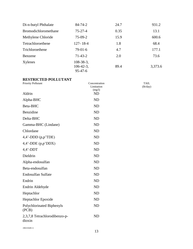| Di-n-butyl Phthalate | $84 - 74 - 2$                                | 24.7 | 931.2   |
|----------------------|----------------------------------------------|------|---------|
| Bromodichloromethane | $75 - 27 - 4$                                | 0.35 | 13.1    |
| Methylene Chloride   | $75-09-2$                                    | 15.9 | 600.6   |
| Tetrachloroethene    | $127 - 18 - 4$                               | 1.8  | 68.4    |
| Trichloroethene      | $79-01-6$                                    | 4.7  | 177.1   |
| Benzene              | $71 - 43 - 2$                                | 2.0  | 73.6    |
| Xylenes              | $108-38-3,$<br>$106-42-3$ ,<br>$95 - 47 - 6$ | 89.4 | 3,373.6 |

# **RESTRICTED POLLUTANT**

| <b>Priority Pollutant</b>               | Concentration<br>Limitation<br>(mg/l) |
|-----------------------------------------|---------------------------------------|
| Aldrin                                  | <b>ND</b>                             |
| Alpha-BHC                               | <b>ND</b>                             |
| Beta-BHC                                | <b>ND</b>                             |
| Benzidine                               | <b>ND</b>                             |
| Delta-BHC                               | <b>ND</b>                             |
| Gamma-BHC (Lindane)                     | <b>ND</b>                             |
| Chlordane                               | <b>ND</b>                             |
| $4,4'$ -DDD $(p,p'TDE)$                 | <b>ND</b>                             |
| $4,4'$ -DDE $(p,p'DDX)$                 | <b>ND</b>                             |
| $4,4'$ -DDT                             | <b>ND</b>                             |
| Dieldrin                                | <b>ND</b>                             |
| Alpha-endosulfan                        | <b>ND</b>                             |
| Beta-endosulfan                         | <b>ND</b>                             |
| Endosulfan Sulfate                      | <b>ND</b>                             |
| Endrin                                  | <b>ND</b>                             |
| Endrin Aldehyde                         | <b>ND</b>                             |
| Heptachlor                              | <b>ND</b>                             |
| Heptachlor Epoxide                      | <b>ND</b>                             |
| Polychlorinated Biphenyls<br>(PCB)      | <b>ND</b>                             |
| 2,3,7,8 Tetrachlorodibenzo-p-<br>dioxin | <b>ND</b>                             |

TAIL (lb/day)

{B0210449.1}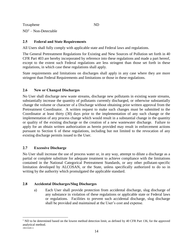Toxaphene ND  $ND<sup>1</sup> - Non-Detectable$ 

### <span id="page-16-0"></span>**2.5 Federal and State Requirements**

All Users shall fully comply with applicable state and Federal laws and regulations.

The General Pretreatment Regulations for Existing and New Sources of Pollution set forth in 40 CFR Part 403 are hereby incorporated by reference into these regulations and made a part hereof, except to the extent such Federal regulations are less stringent than those set forth in these regulations, in which case these regulations shall apply.

State requirements and limitations on discharges shall apply in any case where they are more stringent than Federal Requirements and limitations or those in these regulations.

#### <span id="page-16-1"></span>**2.6 New or Changed Discharges**

No User shall discharge new waste streams, discharge new pollutants in existing waste streams, substantially increase the quantity of pollutants currently discharged, or otherwise substantially change the volume or character of a Discharge without obtaining prior written approval from the Pretreatment Coordinator. A written request to make such changes must be submitted to the Coordinator at least thirty (30) days prior to the implementation of any such change or the implementation of any process change which would result in a substantial change in the quantity or quality of the existing discharge or the creation of a new wastewater discharge. Failure to apply for an obtain written authorization as herein provided may result in enforcement actions pursuant to Section 6 of these regulations, including but not limited to the revocation of any existing discharge permits issued to the User.

#### <span id="page-16-2"></span>**2.7 Excessive Discharge**

 $\overline{a}$ 

No User shall increase the use of process water or, in any way, attempt to dilute a discharge as a partial or complete substitute for adequate treatment to achieve compliance with the limitations contained in the National Categorical Pretreatment Standards, or any other pollutant-specific limitation developed by ALCOSAN, or the State, unless specifically authorized to do so in writing by the authority which promulgated the applicable standard.

#### <span id="page-16-3"></span>**2.8 Accidental Discharges/Slug Discharges**

a) Each User shall provide protection from accidental discharge, slug discharge of any substance in violation of these regulations or applicable state or Federal laws or regulations. Facilities to prevent such accidental discharge, slug discharge shall be provided and maintained at the User's cost and expense.

<sup>{</sup>B0210449.1} <sup>1</sup> ND to be determined based on the lowest method detection limit, as defined by 40 CFR Part 136, for the approved analytical method.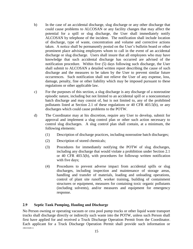- b) In the case of an accidental discharge, slug discharge or any other discharge that could cause problems to ALCOSAN or any facility changes that may affect the potential for a spill or slug discharge, the User shall immediately notify ALCOSAN by telephone of the incident. The notification shall include location of discharge, type of waste, concentration and volume and corrective actions taken. A notice shall be permanently posted on the User's bulletin board or other prominent place advising employees whom to call in the event of an accidental discharge or slug discharge. Users shall insure that all employees who may have knowledge that such accidental discharge has occurred are advised of the notification procedure. Within five (5) days following such discharge, the User shall submit to ALCOSAN a detailed written report describing the cause of such discharge and the measures to be taken by the User to prevent similar future occurrences. Such notification shall not relieve the User of any expense, loss, damage, penalty, fine or other liability which may be imposed pursuant to these regulations or other applicable law.
- c) For the purposes of this section, a slug discharge is any discharge of a nonroutine episodic nature, including but not limited to an accidental spill or a noncustomary batch discharge and may consist of, but is not limited to, any of the prohibited pollutants listed at Section 2.1 of these regulations or 40 CFR 403.5(b), or any discharges which could cause problems to the POTW.
- d) The Coordinator may at his discretion, require any User to develop, submit for approval and implement a slug control plan or other such action necessary to control slug discharges. A slug control plan shall contain, at a minimum, the following elements:
	- (1) Description of discharge practices, including nonroutine batch discharges;
	- (2) Description of stored chemicals;
	- (3) Procedures for immediately notifying the POTW of slug discharges, including any discharge that would violate a prohibition under Section 2.1 or 40 CFR 403.5(b), with procedures for followup written notification with five days;
	- (4) Procedures to prevent adverse impact from accidental spills or slug discharges, including inspection and maintenance of storage areas, handling and transfer of materials, loading and unloading operations, control of plant site runoff, worker training, building of containment structures or equipment, measures for containing toxic organic pollutants (including solvents), and/or measures and equipment for emergency response.

#### <span id="page-17-0"></span>**2.9 Septic Tank Pumping, Hauling and Discharge**

{B0210449.1} No Person owning or operating vacuum or cess pool pump trucks or other liquid waste transport trucks shall discharge directly or indirectly such waste into the POTW, unless such Person shall first have applied for and received a Truck Discharge Operation Permit from the Coordinator. Each applicant for a Truck Discharge Operation Permit shall provide such information or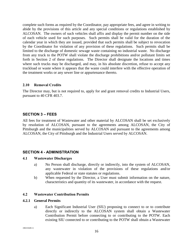complete such forms as required by the Coordinator, pay appropriate fees, and agree in writing to abide by the provisions of this article and any special conditions or regulations established by ALCOSAN. The owners of such vehicles shall affix and display the permit number on the side of each vehicle used for such purposes. Such permits shall be valid for the duration of the calendar year in which they are issued, provided that such permits shall be subject to revocation by the Coordinator for violation of any provision of these regulations. Such permits shall be limited to the discharge of domestic sewage waste containing no industrial waste. No discharge from any truck to the POTW shall violate the discharge prohibitions and/or pollutant limits set forth in Section 2 of these regulations. The Director shall designate the locations and times where such trucks may be discharged, and may, in his absolute discretion, refuse to accept any truckload or waste where it appears that the waste could interfere with the effective operation of the treatment works or any sewer line or appurtenance thereto.

#### <span id="page-18-0"></span>**2.10 Removal Credits**

The Director may, but is not required to, apply for and grant removal credits to Industrial Users, pursuant to 40 CFR 403.7.

#### <span id="page-18-1"></span>**SECTION 3 – FEES**

All fees for treatment of Wastewater and other material by ALCOSAN shall be set exclusively by resolution of ALCOSAN, pursuant to the agreements among ALCOSAN, the City of Pittsburgh and the municipalities served by ALCOSAN and pursuant to the agreements among ALCOSAN, the City of Pittsburgh and the Industrial Users served by ALCOSAN.

#### <span id="page-18-2"></span>**SECTION 4 - ADMINISTRATION**

#### <span id="page-18-3"></span>**4.1 Wastewater Discharges**

- a) No Person shall discharge, directly or indirectly, into the system of ALCOSAN, any wastewater in violation of the provisions of these regulations and/or applicable Federal or state statutes or regulations.
- b) When requested by the Director, a User must submit information on the nature, characteristics and quantity of its wastewater, in accordance with the request.

#### <span id="page-18-4"></span>**4.2 Wastewater Contribution Permits**

#### **4.2.1 General Permits**

a) Each Significant Industrial User (SIU) proposing to connect to or to contribute directly or indirectly to the ALCOSAN system shall obtain a Wastewater Contribution Permit before connecting to or contributing to the POTW. Each existing SIU connected to or contributing to the POTW shall obtain a Wastewater

{B0210449.1}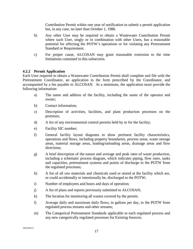Contribution Permit within one year of notification to submit a permit application but, in any case, no later than October 1, 1986.

- b) Any other User may be required to obtain a Wastewater Contribution Permit where such User, singly or in combination with other Users, has a reasonable potential for affecting the POTW's operations or for violating any Pretreatment Standard or Requirement.
- c) For proper cause, ALCOSAN may grant reasonable extension to the time limitations contained in this subsection.

#### **4.2.2 Permit Application**

Each User required to obtain a Wastewater Contribution Permit shall complete and file with the Pretreatment Coordinator, an application in the form prescribed by the Coordinator, and accompanied by a fee payable to ALCOSAN. At a minimum, the application must provide the following information:

- a) The name and address of the facility, including the name of the operator and owner;
- b) Contact information;
- c) Description of activities, facilities, and plant production processes on the premises;
- d) A list of any environmental control permits held by or for the facility;
- e) Facility SIC number;
- f) General facility layout diagrams to show pertinent facility characteristics, operations and flows, including property boundaries, process areas, waste storage areas, material storage areas, loading/unloading areas, drainage areas and flow directions;
- g) A brief description of the nature and average and peak rates of waste production, including a schematic process diagram, which indicates piping, flow rates, tanks and capacities, pretreatment systems and points of discharge to the POTW from the regulated processes;
- h) A list of all raw materials and chemicals used or stored at the facility which are, or could accidentally or intentionally be, discharged to the POTW;
- i) Number of employees and hours and days of operation;
- j) A list of plans and reports previously submitted to ALCOSAN;
- k) The location for monitoring all wastes covered by the permit;
- l) Average daily and maximum daily flows, in gallons per day, to the POTW from regulated process streams and other streams;
- m) The Categorical Pretreatment Standards applicable to each regulated process and any new categorically regulated processes for Existing Sources;

{B0210449.1}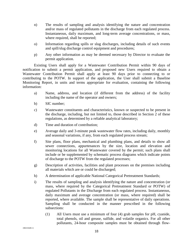- n) The results of sampling and analysis identifying the nature and concentration and/or mass of regulated pollutants in the discharge from each regulated process. Instantaneous, daily maximum, and long-term average concentrations, or mass, where required, shall be reported;
- o) Information regarding spills or slug discharges, including details of such events and spill/slug discharge control equipment and procedures;
- p) Any other information as may be deemed necessary by Director to evaluate the permit application.

Existing Users shall apply for a Wastewater Contribution Permit within 90 days of notification to submit a permit application, and proposed new Users required to obtain a Wastewater Contribution Permit shall apply at least 90 days prior to connecting to or contributing to the POTW. In support of the application, the User shall submit a Baseline Monitoring Report, in units and terms appropriate for evaluation, containing the following information:

- a) Name, address, and location (if different from the address) of the facility including the name of the operator and owners;
- b) SIC number;
- c) Wastewater constituents and characteristics, known or suspected to be present in the discharge, including, but not limited to, those described in Section 2 of these regulations, as determined by a reliable analytical laboratory;
- d) Time and duration of contribution;
- e) Average daily and 3-minute peak wastewater flow rates, including daily, monthly and seasonal variations, if any, from each regulated process stream;
- f) Site plans, floor plans, mechanical and plumbing plans, and details to show all sewer connections, appurtenances by the size, location and elevation and monitoring locations for all Wastewater covered by the permit; such plans shall include or be supplemented by schematic process diagrams which indicate points of discharge to the POTW from the regulated processes;
- g) Description of activities, facilities and plant processes on the premises including all materials which are or could be discharged;
- h) A determination of applicable National Categorical Pretreatment Standards;
- i) The results of sampling and analysis identifying the nature and concentration (or mass, where required by the Categorical Pretreatment Standard or POTW) of regulated Pollutants in the Discharge from each regulated process. Instantaneous, daily maximum and average concentration (or mass, where required) shall be reported, where available. The sample shall be representative of daily operations. Sampling shall be conducted in the manner prescribed in the following subsections:
	- (1) All Users must use a minimum of four (4) grab samples for pH, cyanide, total phenols, oil and grease, sulfide, and volatile organics. For all other pollutants, 24-hour composite samples must be obtained through flow-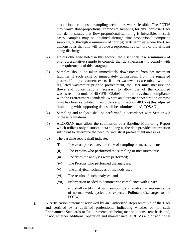proportional composite sampling techniques where feasible. The POTW may waive flow-proportional composite sampling for any Industrial User that demonstrates that flow-proportional sampling is infeasible. In such cases, samples may be obtained through time-proportional composite sampling or through a minimum of four (4) grab samples where the User demonstrates that this will provide a representative sample of the effluent being discharged.

- (2) Unless otherwise noted in this section, the User shall take a minimum of one representative sample to compile that data necessary to comply with the requirements of this paragraph.
- (3) Samples should be taken immediately downstream from pre-treatment facilities if such exist or immediately downstream from the regulated process if no pretreatment exists. If other wastewaters are mixed with the regulated wastewater prior to pretreatment, the User must measure the flows and concentrations necessary to allow use of the combined wastestream formula of 40 CFR 403.6(e) in order to evaluate compliance with the Pretreatment Standards. Where an alternate concentration or mass limit has been calculated in accordance with section 403.6(e) this adjusted limit along with supporting data shall be submitted to ALCOSAN.
- (4) Sampling and analysis shall be performed in accordance with Section 4.3 of these regulations.
- (5) ALCOSAN may allow the submission of a Baseline Monitoring Report which utilizes only historical data so long as the data provides information sufficient to determine the need for industrial pretreatment measures.
- (6) The baseline report shall indicate:
	- (i) The exact place, date, and time of sampling or measurements;
	- (ii) The Persons who performed the sampling or measurements;
	- (iii) The dates the analyses were performed;
	- (iv) The Persons who performed the analyses;
	- (v) The analytical techniques or methods used;
	- (vi) The results of such analyses; and
	- (vii) Information needed to demonstrate compliance with BMPs

and shall certify that such sampling and analysis is representative of normal work cycles and expected Pollutant discharges to the POTW.

j) A certification statement reviewed by an Authorized Representative of the User and certified by a qualified professional indicating whether or not such Pretreatment Standards or Requirements are being met on a consistent basis and, if not, whether additional operation and maintenance  $(O & M)$  and/or additional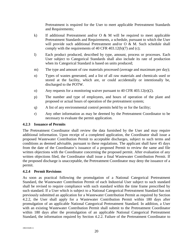Pretreatment is required for the User to meet applicable Pretreatment Standards and Requirements;

- k) If additional Pretreatment and/or  $O \& M$  will be required to meet applicable Pretreatment Standards and Requirements, a schedule, pursuant to which the User will provide such additional Pretreatment and/or O & M. Such schedule shall comply with the requirements of 40 CFR 403.12(b)(7) and (c);
- l) Each product produced, described by type, amount, process or processes. Each User subject to Categorical Standards shall also include its rate of production when its Categorical Standard is based on units produced;
- m) The type and amount of raw materials processed (average and maximum per day);
- n) Types of wastes generated, and a list of all raw materials and chemicals used or stored at the facility, which are, or could accidentally or intentionally be, discharged to the POTW.
- o) Any requests for a monitoring waiver pursuant to 40 CFR 403.12(e)(2).
- p) The number and type of employees, and hours of operation of the plant and proposed or actual hours of operation of the pretreatment system;
- q) A list of any environmental control permits held by or for the facility;
- r) Any other information as may be deemed by the Pretreatment Coordinator to be necessary to evaluate the permit application.

#### **4.2.3 Issuance of Permits**

The Pretreatment Coordinator shall review the data furnished by the User and may require additional information. Upon receipt of a completed application, the Coordinator shall issue a proposed Wastewater Contribution Permit to acceptable discharges, subject to such terms and conditions as deemed advisable, pursuant to these regulations. The applicant shall have 45 days from the date of the Coordinator's issuance of a proposed Permit to review the same and file written objections with the Coordinator concerning the proposed permit. After evaluation of any written objections filed, the Coordinator shall issue a final Wastewater Contribution Permit. If the proposed discharge is unacceptable, the Pretreatment Coordinator may deny the issuance of a permit.

#### **4.2.4 Permit Revisions**

As soon as practical following the promulgation of a National Categorical Pretreatment Standard, the Wastewater Contribution Permit of each Industrial User subject to such standard shall be revised to require compliance with such standard within the time frame prescribed by such standard. If a User which is subject to a National Categorical Pretreatment Standard has not previously submitted an application for a Wastewater Contribution Permit as required by Section 4.2.2, the User shall apply for a Wastewater Contribution Permit within 180 days after promulgation of an applicable National Categorical Pretreatment Standard. In addition, a User with an existing Wastewater Contribution Permit shall submit to the Pretreatment Coordinator within 180 days after the promulgation of an applicable National Categorical Pretreatment Standard, the information required by Section 4.2.2. Failure of the Pretreatment Coordinator to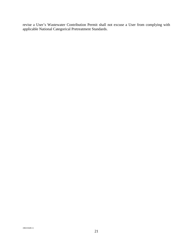revise a User's Wastewater Contribution Permit shall not excuse a User from complying with applicable National Categorical Pretreatment Standards.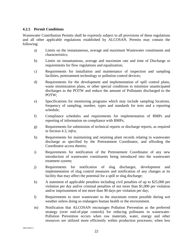#### **4.2.5 Permit Conditions**

Wastewater Contribution Permits shall be expressly subject to all provisions of these regulations and all other applicable regulations established by ALCOSAN. Permits may contain the following:

- a) Limits on the instantaneous, average and maximum Wastewater constituents and characteristics;
- b) Limits on instantaneous, average and maximum rate and time of Discharge or requirements for flow regulations and equalization;
- c) Requirements for installation and maintenance of inspection and sampling facilities, pretreatment technology or pollution control devices;
- d) Requirements for the development and implementation of spill control plans, waste minimization plans, or other special conditions to minimize unanticipated discharges to the POTW and reduce the amount of Pollutants discharged to the POTW;
- e) Specifications for monitoring programs which may include sampling locations, frequency of sampling, number, types and standards for tests and a reporting schedule;
- f) Compliance schedules and requirements for implementation of BMPs and reporting of information on compliance with BMPs;
- g) Requirements for submission of technical reports or discharge reports, as required in Section 4.3, *infra*;
- h) Requirements for maintaining and retaining plant records relating to wastewater discharge as specified by the Pretreatment Coordinator, and affording the Coordinator access thereto;
- i) Requirements for notification of the Pretreatment Coordinator of any new introduction of wastewater constituents being introduced into the wastewater treatment system;
- j) Requirements for notification of slug discharges, development and implementation of slug control measures and notification of any changes at its facility that may affect the potential for a spill or slug discharge;
- k) A statement of applicable penalties including civil penalties of up to \$25,000 per violation per day and/or criminal penalties of not more than \$1,000 per violation and/or imprisonment of not more than 90 days per violation per day;
- l) Requirements to store wastewater to the maximum extent possible during wet weather unless doing so endangers human health or the environment.
- m) Notification that ALCOSAN encourages Pollution Prevention as the preferred strategy (over end-of-pipe controls) for reducing pollutants in wastewater. Pollution Prevention occurs when raw materials, water, energy and other resources are utilized more efficiently within production processes; when less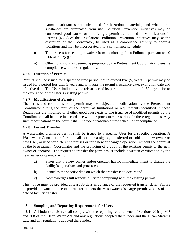harmful substances are substituted for hazardous materials; and when toxic substances are eliminated from use. Pollution Prevention initiatives may be considered good cause for modifying a permit as outlined in Modifications in Permits (4.2.7) of the Regulations. Pollution Prevention initiatives may, at the discretion of the Coordinator, be used as a compliance activity to address violations and may be incorporated into a compliance schedule.

- n) The process for seeking a waiver from monitoring for a Pollutant pursuant to 40 CFR 403.12(e)(2).
- o) Other conditions as deemed appropriate by the Pretreatment Coordinator to ensure compliance with these regulations.

#### **4.2.6 Duration of Permits**

Permits shall be issued for a specified time period, not to exceed five (5) years. A permit may be issued for a period less than 5 years and will state the permit's issuance date, expiration date and effective date. The User shall apply for reissuance of its permit a minimum of 180 days prior to the expiration of the User's existing permit.

#### **4.2.7 Modifications of Permits**

The terms and conditions of a permit may be subject to modification by the Pretreatment Coordinator during the term of the permit as limitations or requirements identified in these Regulations are modified or if other good cause exists. The issuance of modified permits by the Coordinator shall be done in accordance with the procedures prescribed in these regulations. Any such modifications in the permit shall include a reasonable time schedule for compliance.

#### **4.2.8 Permit Transfer**

A wastewater discharge permit shall be issued to a specific User for a specific operation. A Wastewater Contribution Permit shall not be reassigned, transferred or sold to a new owner or new User, or used for different premises or for a new or changed operation, without the approval of the Pretreatment Coordinator and the providing of a copy of the existing permit to the new owner or operator. The request to transfer the permit must include a written certification by the new owner or operator which:

- a) States that the new owner and/or operator has no immediate intent to change the facility's operations and processes;
- b) Identifies the specific date on which the transfer is to occur; and
- c) Acknowledges full responsibility for complying with the existing permit.

This notice must be provided at least 30 days in advance of the requested transfer date. Failure to provide advance notice of a transfer renders the wastewater discharge permit void as of the date of facility transfer.

#### <span id="page-25-0"></span>**4.3 Sampling and Reporting Requirements for Users**

**4.3.1** All Industrial Users shall comply with the reporting requirements of Sections 204(b), 307 and 308 of the Clean Water Act and any regulations adopted thereunder and the Clean Streams Law and any regulations adopted thereunder.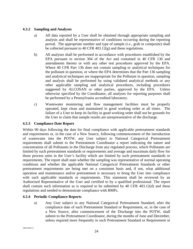#### **4.3.2 Sampling and Analyses**

- a) All data reported by a User shall be obtained through appropriate sampling and analysis and shall be representative of conditions occurring during the reporting period. The appropriate number and type of sample (*i.e.*, grab or composite) shall be collected pursuant to 40 CFR 403.12(g) and these regulations.
- b) All analyses shall be performed in accordance with procedures established by the EPA pursuant to section 304 of the Act and contained in 40 CFR 136 and amendments thereto or with any other test procedures approved by the EPA. Where 40 CFR Part 136 does not contain sampling or analytical techniques for the pollutant in question, or where the EPA determines that the Part 136 sampling and analytical techniques are inappropriate for the Pollutant in question, sampling and analysis shall be performed by using validated analytical methods or any other applicable sampling and analytical procedures, including procedures suggested by ALCOSAN or other parties, approved by the EPA. Unless otherwise specified by the Coordinator, all analyses for reporting purposes shall be performed by a Pennsylvania accredited laboratory.
- c) Wastewater monitoring and flow management facilities must be properly operated, kept clean and maintained in good working order at all times. The failure of a User to keep its facility in good working order shall not be grounds for the User to claim that sample results are unrepresentative of the discharge.

#### **4.3.3 Compliance Date Report**

Within 90 days following the date for final compliance with applicable pretreatment standards and requirements or, in the case of a New Source, following commencement of the introduction of wastewater into the POTW, any User subject to National Categorical Pretreatment requirements shall submit to the Pretreatment Coordinator a report indicating the nature and concentration of all Pollutants in the Discharge from any regulated process, which Pollutants are limited by such pretreatment standards or requirements and average and maximum daily flow for those process units in the User's facility which are limited by such pretreatment standards or requirements. The report shall state whether the sampling was representative of normal operating conditions and whether the applicable National Categorical Pretreatment Standards or other pretreatment requirements are being met on a consistent basis and, if not, what additional operation and maintenance and/or pretreatment is necessary to bring the User into compliance with such applicable standards or requirements. This statement shall be reviewed by an Authorized Representative of the User and certified to by a qualified professional. The report shall contain such information as is required to be submitted by 40 CFR 403.12(d) and these regulations and needed to demonstrate compliance with BMPs.

#### **4.3.4 Periodic Compliance Reports**

a) Any User subject to any National Categorical Pretreatment Standard, after the compliance date of such Pretreatment Standard or Requirement, or, in the case of a New Source, after commencement of the Discharge into the POTW, shall submit to the Pretreatment Coordinator, during the months of June and December, unless required more frequently in such Pretreatment Standard or Requirement or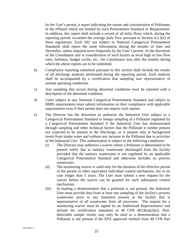by the User's permit, a report indicating the nature and concentration of Pollutants in the effluent which are limited by such Pretreatment Standard or Requirement. In addition, this report shall include a record of all daily flows which, during the reporting period, exceeded the average daily flow pursuant to Section 4.2.2(e) of these regulations. Each SIU not subject to National Categorical Pretreatment Standards shall report the same information during the months of June and December, unless required more frequently by the User's permit. At the discretion of the Coordinator and in consideration of such factors as local high or low flow rates, holidays, budget cycles, etc., the Coordinator may alter the months during which the above reports are to be submitted.

- b) Compliance reporting submitted pursuant to this section shall include the results of all discharge analyses performed during the reporting period. Each analysis shall be accompanied by a certification that sampling was representative of normal operating conditions.
- c) Any sampling that occurs during abnormal conditions must be reported with a description of the abnormal condition.
- d) Users subject to any National Categorical Pretreatment Standard and subject to BMPs requirements must submit information on their compliance with applicable requirements even if their permit does not require such reports.
- e) The Director has the discretion to authorize the Industrial User subject to a Categorical Pretreatment Standard to forego sampling of a Pollutant regulated by a Categorical Pretreatment Standard if the Industrial User has demonstrated through sampling and other technical factors that the Pollutant is neither present nor expected to be present in the Discharge, or is present only at background levels from intake water and without any increase in the Pollutant due to activities of the Industrial User. This authorization is subject to the following conditions:
	- (i) The Director may authorize a waiver where a Pollutant is determined to be present solely due to sanitary wastewater discharged from the facility provided that the sanitary wastewater is not regulated by an applicable Categorical Pretreatment Standard and otherwise includes no process wastewater.
	- (ii) The monitoring waiver is valid only for the duration of the effective period of the permit or other equivalent individual control mechanism, but in no case longer than 5 years. The User must submit a new request for the waiver before the waiver can be granted for each subsequent control mechanism.
	- (iii) In making a demonstration that a pollutant is not present, the Industrial User must provide data from at least one sampling of the facility's process wastewater prior to any treatment present at the facility that is representative of all wastewater from all processes. The request for a monitoring waiver must be signed by an Authorized Representative and include the certification statement in 40 CFR  $403.6(a)(2)(ii)$ . Nondetectable sample results may only be used as a demonstration that a Pollutant is not present if the EPA approved method from 40 CFR Part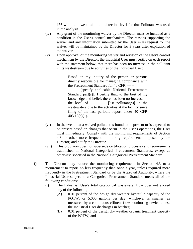136 with the lowest minimum detection level for that Pollutant was used in the analysis.

- (iv) Any grant of the monitoring waiver by the Director must be included as a condition in the User's control mechanism. The reasons supporting the waiver and any information submitted by the User in its request for the waiver will be maintained by the Director for 3 years after expiration of the waiver.
- (v) Upon approval of the monitoring waiver and revision of the User's control mechanism by the Director, the Industrial User must certify on each report with the statement below, that there has been no increase in the pollutant in its wastestream due to activities of the Industrial User:

Based on my inquiry of the person or persons directly responsible for managing compliance with the Pretreatment Standard for 40 CFR ------

-------- [specify applicable National Pretreatment Standard part(s)], I certify that, to the best of my knowledge and belief, there has been no increase in the level of  $------$  [list pollutant(s)] in the wastewaters due to the activities at the facility since filing of the last periodic report under 40 CFR 403.12(e)(1).

- (vi) In the event that a waived pollutant is found to be present or is expected to be present based on changes that occur in the User's operations, the User must immediately: Comply with the monitoring requirements of Section 4.3 or other more frequent monitoring requirements imposed by the Director; and notify the Director.
- (vii) This provision does not supersede certification processes and requirements established in National Categorical Pretreatment Standards, except as otherwise specified in the National Categorical Pretreatment Standard.
- f) The Director may reduce the monitoring requirement in Section 4.3 to a requirement to report no less frequently than once a year, unless required more frequently in the Pretreatment Standard or by the Approval Authority, where the Industrial User subject to a Categorical Pretreatment Standard meets all of the following conditions:
	- (i) The Industrial User's total categorical wastewater flow does not exceed any of the following:
		- (A) 0.01 percent of the design dry weather hydraulic capacity of the POTW, or 5,000 gallons per day, whichever is smaller, as measured by a continuous effluent flow monitoring device unless the Industrial User discharges in batches;
		- (B) 0.01 percent of the design dry weather organic treatment capacity of the POTW; and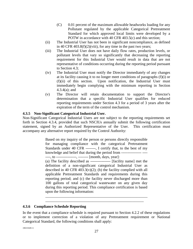- (C) 0.01 percent of the maximum allowable headworks loading for any Pollutant regulated by the applicable Categorical Pretreatment Standard for which approved local limits were developed by a POTW in accordance with 40 CFR 403.5(c) and this section;
- (ii) The Industrial User has not been in significant noncompliance, as defined in 40 CFR 403.8(f)(2)(viii), for any time in the past two years;
- (iii) The Industrial User does not have daily flow rates, production levels, or pollutant levels that vary so significantly that decreasing the reporting requirement for this Industrial User would result in data that are not representative of conditions occurring during the reporting period pursuant to Section 4.3;
- (iv) The Industrial User must notify the Director immediately of any changes at its facility causing it to no longer meet conditions of paragraphs (f)(i) or (f)(ii) of this section. Upon notification, the Industrial User must immediately begin complying with the minimum reporting in Section 4.3.4(a); and
- (v) The Director will retain documentation to support the Director's determination that a specific Industrial User qualifies for reduced reporting requirements under Section 4.3 for a period of 3 years after the expiration of the term of the control mechanism.

#### **4.3.5 Non-Significant Categorical Industrial User.**

Non-Significant Categorical Industrial Users are not subject to the reporting requirements set forth in Section 4.3.4, provided that such NSCIUs annually submit the following certification statement, signed by an Authorized Representative of the User. This certification must accompany any alternative report required by the Control Authority:

> Based on my inquiry of the person or persons directly responsible for managing compliance with the categorical Pretreatment Standards under 40 CFR --------, I certify that, to the best of my knowledge and belief that during the period from ---------------- ---- ----, to ----------------, -------- [month, days, year]:

> (a) The facility described as ---------------- [facility name] met the definition of a non-significant categorical Industrial User as described in 40 CFR 403.3(v)(2); (b) the facility complied with all applicable Pretreatment Standards and requirements during this reporting period; and (c) the facility never discharged more than 100 gallons of total categorical wastewater on any given day during this reporting period. This compliance certification is based upon the following information:

#### **4.3.6 Compliance Schedule Reporting**

In the event that a compliance schedule is required pursuant to Section 4.2.2 of these regulations or to implement correction of a violation of any Pretreatment requirement or National Categorical Standard, the following conditions shall apply:

\_\_\_\_\_\_\_\_\_\_\_\_\_\_\_\_\_\_\_\_\_\_\_\_\_\_\_\_\_\_\_\_\_\_\_\_\_\_\_\_\_\_\_\_\_\_\_\_\_\_\_\_\_\_ \_\_\_\_\_\_\_\_\_\_\_\_\_\_\_\_\_\_\_\_\_\_\_\_\_\_\_\_\_\_\_\_\_\_\_\_\_\_\_\_\_\_\_\_\_\_\_\_\_\_\_\_

{B0210449.1}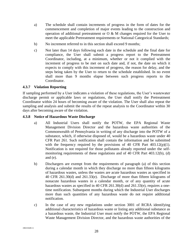- a) The schedule shall contain increments of progress in the form of dates for the commencement and completion of major events leading to the construction and operation of additional pretreatment or O & M changes required for the User to meet the applicable Pretreatment requirements or National Categorical Standards;
- b) No increment referred to in this section shall exceed 9 months;
- c) Not later than 14 days following each date in the schedule and the final date for compliance, the User shall submit a progress report to the Pretreatment Coordinator, including, at a minimum, whether or not it complied with the increment of progress to be met on such date and, if not, the date on which it expects to comply with this increment of progress, the reason for delay, and the steps being taken by the User to return to the schedule established. In no event shall more than 9 months elapse between such progress reports to the Coordinator.

#### **4.3.7 Violation Reporting**

If sampling performed by a User indicates a violation of these regulations, the User's wastewater discharge permit or applicable laws or regulations, the User shall notify the Pretreatment Coordinator within 24 hours of becoming aware of the violation. The User shall also repeat the sampling and analysis and submit the results of the repeat analysis to the Coordinator within 30 days after becoming aware of the violation.

#### **4.3.8 Notice of Hazardous Waste Discharge**

- a) All Industrial Users shall notify the POTW, the EPA Regional Waste Management Division Director and the hazardous waste authorities of the Commonwealth of Pennsylvania in writing of any discharge into the POTW of a substance, which, if otherwise disposed of, would be a hazardous waste under 40 CFR Part 261. Such notification shall contain the information and be submitted with the frequency required by the provisions of 40 CFR Part  $403.12(p)(1)$ . Notification is not required for those pollutants already reported under the selfmonitoring requirements of these regulations and of 40 CFR Part 403.12(b), (d) and (e).
- b) Dischargers are exempt from the requirements of paragraph (a) of this section during a calendar month in which they discharge no more than fifteen kilograms of hazardous wastes, unless the wastes are acute hazardous wastes as specified in 40 CFR 261.30(d) and 261.33(e). Discharge of more than fifteen kilograms of nonacute hazardous wastes in a calendar month, or of any quantity of acute hazardous wastes as specified in 40 CFR 261.30(d) and 261.33(e), requires a onetime notification. Subsequent months during which the Industrial User discharges more than such quantities of any hazardous waste do not require additional notification.
- c) In the case of any new regulations under section 3001 of RCRA identifying additional characteristics of hazardous waste or listing any additional substance as a hazardous waste, the Industrial User must notify the POTW, the EPA Regional Waste Management Division Director, and the hazardous waste authorities of the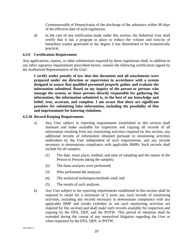Commonwealth of Pennsylvania of the discharge of the substance within 90 days of the effective date of such regulations.

d) In the case of any notification made under this section, the Industrial User shall certify that it has a program in place to reduce the volume and toxicity of hazardous wastes generated to the degree it has determined to be economically practical.

#### **4.3.9 Certification Requirement**

Any applications, reports, or other submissions required by these regulations shall, in addition to any other signatory requirements prescribed herein, contain the following certification signed by the Authorized Representative of the User:

**I certify under penalty of law that this document and all attachments were prepared under my direction or supervision in accordance with a system designed to assure that qualified personnel properly gather and evaluate the information submitted. Based on my inquiry of the person or persons who manage the system, or those persons directly responsible for gathering the information, the information submitted is, to the best of my knowledge and belief, true, accurate, and complete. I am aware that there are significant penalties for submitting false information, including the possibility of fine and imprisonment for knowing violations.**

#### **4.3.10 Record Keeping Requirements**

- a) Any User subject to reporting requirements established in this section shall maintain and make available for inspection and copying all records of all information resulting from any monitoring activities required by this section, any additional records of information obtained pursuant to monitoring activities undertaken by the User independent of such requirements, and any records necessary to demonstrate compliance with applicable BMPs. Such records shall include for all samples:
	- (1) The date, exact place, method, and time of sampling and the names of the Person or Persons taking the samples;
	- (2) The dates analyses were performed;
	- (3) Who performed the analyses;
	- (4) The analytical techniques/methods used; and
	- (5) The results of such analyses.
- b) Any User subject to the reporting requirements established in this section shall be required to retain for a minimum of 3 years any such records of monitoring activities, including any records necessary to demonstrate compliance with any applicable BMP and results (whether or not such monitoring activities are required by this section) and shall make such records available for inspection and copying by the EPA, DEP, and the POTW. This period of retention shall be extended during the course of any unresolved litigation regarding the User or when requested by the EPA, DEP, or POTW.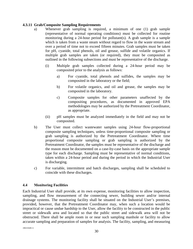#### **4.3.11 Grab/Composite Sampling Requirements**

- a) Whenever grab sampling is required, a minimum of one (1) grab sample (representative of normal operating conditions) must be collected for routine monitoring during a 24-hour period for pollutant(s). A grab sample is a sample which is taken from a waste steam without regard to flow in the waste stream and over a period of time not to exceed fifteen minutes. Grab samples must be taken for pH, cyanide, total phenols, oil and grease, sulfide and volatile organics. If multiple grab samples are taken (or required), they must be composited as outlined in the following subsections and must be representative of the discharge.
	- (i) Multiple grab samples collected during a 24-hour period may be composited prior to the analysis as follows:
		- a) For cyanide, total phenols and sulfides, the samples may be composited in the laboratory or the field;
		- b) For volatile organics, and oil and grease, the samples may be composited in the laboratory.
		- c) Composite samples for other parameters unaffected by the compositing procedures, as documented in approved EPA methodologies may be authorized by the Pretreatment Coordinator, as appropriate.
	- (ii) pH samples must be analyzed immediately in the field and may not be composited.
- b) The User must collect wastewater samples using 24-hour flow-proportional composite sampling techniques, unless time-proportional composite sampling or grab sampling is authorized by the Pretreatment Coordinator. Where time proportional composite sampling or grab sampling is authorized by the Pretreatment Coordinator, the samples must be representative of the discharge and the reason must be documented on a case-by-case basis on the appropriate sample type for each discharge. Sampling must be representative of normal conditions, taken within a 24-hour period and during the period in which the Industrial User is discharging.
- c) For variable, intermittent and batch discharges, sampling shall be scheduled to coincide with these discharges.

#### <span id="page-32-0"></span>**4.4 Monitoring Facilities**

Each Industrial User shall provide, at its own expense, monitoring facilities to allow inspection, sampling, and flow measurement of the connecting sewer, building sewer and/or internal drainage systems. The monitoring facility shall be situated on the Industrial User's premises, provided, however, that the Pretreatment Coordinator may, when such a location would be impractical or cause undue hardship to the User, allow the facility to be constructed in the public street or sidewalk area and located so that the public street and sidewalk area will not be obstructed. There shall be ample room in or near such sampling manhole or facility to allow accurate sampling and preparation of samples for analysis. The facility, sampling, and measuring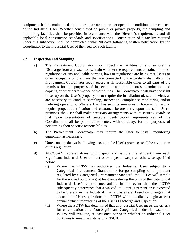equipment shall be maintained at all times in a safe and proper operating condition at the expense of the Industrial User. Whether constructed on public or private property, the sampling and monitoring facilities shall be provided in accordance with the Director's requirements and all applicable local construction standards and specifications. Construction of a facility required under this subsection shall be completed within 90 days following written notification by the Coordinator to the Industrial User of the need for such facility.

#### <span id="page-33-0"></span>**4.5 Inspection and Sampling**

- a) The Pretreatment Coordinator may inspect the facilities of and sample the Discharge from any User to ascertain whether the requirements contained in these regulations or any applicable permits, laws or regulations are being met. Users or other occupants of premises that are connected to the System shall allow the Pretreatment Coordinator ready access at all reasonable times to all parts of the premises for the purposes of inspection, sampling, records examination and copying or other performance of their duties. The Coordinator shall have the right to set up on the User's property, or to require the installation of, such devices as are necessary to conduct sampling, inspection, compliance monitoring and/or metering operations. Where a User has security measures in force which would require proper identification and clearance before entry upon the said User's premises, the User shall make necessary arrangements with its security guards so that upon presentation of suitable identification, representatives of the Coordinator shall be permitted to enter, without delay, for the purposes of performing their specific responsibilities.
- b) The Pretreatment Coordinator may require the User to install monitoring equipment as necessary.
- c) Unreasonable delays in allowing access to the User's premises shall be a violation of this regulation.
- d) ALCOSAN representatives will inspect and sample the effluent from each Significant Industrial User at least once a year, except as otherwise specified below:
	- (i) Where the POTW has authorized the Industrial User subject to a Categorical Pretreatment Standard to forego sampling of a pollutant regulated by a Categorical Pretreatment Standard, the POTW will sample for the waived pollutant(s) at least once during the term of the Categorical Industrial User's control mechanism. In the event that the POTW subsequently determines that a waived Pollutant is present or is expected to be present in the Industrial User's wastewater based on changes that occur in the User's operations, the POTW will immediately begin at least annual effluent monitoring of the User's Discharge and inspection.
	- (ii) Where the POTW has determined that an Industrial User meets the criteria for classification as a Non-Significant Categorical Industrial User, the POTW will evaluate, at least once per year, whether an Industrial User continues to meet the criteria of a NSCIU.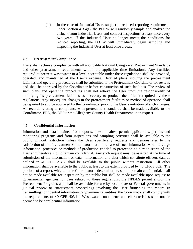(iii) In the case of Industrial Users subject to reduced reporting requirements under Section 4.3.4(f), the POTW will randomly sample and analyze the effluent from Industrial Users and conduct inspections at least once every two years. If the Industrial User no longer meets the conditions for reduced reporting, the POTW will immediately begin sampling and inspecting the Industrial User at least once a year.

#### <span id="page-34-0"></span>**4.6 Pretreatment Compliance**

Users shall achieve compliance with all applicable National Categorical Pretreatment Standards and other pretreatment requirements within the applicable time limitations. Any facilities required to pretreat wastewater to a level acceptable under these regulations shall be provided, operated, and maintained at the User's expense. Detailed plans showing the pretreatment facilities and operating procedures shall be submitted to the Pretreatment Coordinator for review, and shall be approved by the Coordinator before construction of such facilities. The review of such plans and operating procedures shall not relieve the User from the responsibility of modifying its pretreatment facilities as necessary to produce the effluent required by these regulations. Any subsequent changes in the pretreatment facilities or method of operation shall be reported to and be approved by the Coordinator prior to the User's initiation of such changes. All records relating to compliance with pretreatment standards shall be made available to the Coordinator, EPA, the DEP or the Allegheny County Health Department upon request.

#### <span id="page-34-1"></span>**4.7 Confidential Information**

<span id="page-34-2"></span>Information and data obtained from reports, questionnaires, permit applications, permits and monitoring programs and from inspections and sampling activities shall be available to the public without restriction unless the User specifically requests and demonstrates to the satisfaction of the Pretreatment Coordinator that the release of such information would divulge information, processes or methods of production entitled to protection as a trade secret of the User and therefore should remain confidential. Any such request must be asserted at the time of submission of the information or data. Information and data which constitute effluent data as defined in 40 CFR 2.302 shall be available to the public without restriction. All other information shall be available to the public at least to the extent provided by 40 CFR 2.302. The portions of a report, which, in the Coordinator's determination, should remain confidential, shall not be made available for inspection by the public but shall be made available upon request to governmental agencies for uses related to these regulations, the NPDES permit and/or the Pretreatment Programs and shall be available for use by local, state or Federal governments in judicial review or enforcement proceedings involving the User furnishing the report. In transmitting confidential information to governmental entities, the Coordinator shall comply with the requirements of 40 CFR 403.14. Wastewater constituents and characteristics shall not be deemed to be confidential information,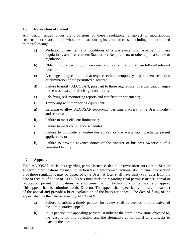#### **4.8 Revocation of Permit**

Any permit issued under the provisions of these regulations is subject to modification, suspension or revocation, in whole or in part, during its term, for cause, including but not limited to the following:

- a) Violation of any terms or conditions of a wastewater discharge permit, these regulations, any Pretreatment Standard or Requirement, or other applicable law or regulation;
- b) Obtaining of a permit by misrepresentation or failure to disclose fully all relevant facts; or
- c) A change in any condition that requires either a temporary or permanent reduction or elimination of the permitted discharge.
- d) Failure to notify ALCOSAN, pursuant to these regulations, of significant changes to the wastewater or discharge conditions;
- e) Falsifying self-monitoring reports and certification statements;
- f) Tampering with monitoring equipment;
- g) Refusing to allow ALCOSAN representatives timely access to the User's facility and records;
- h) Failure to meet effluent limitations;
- i) Failure to meet compliance schedules;
- j) Failure to complete a wastewater survey or the wastewater discharge permit application; or
- k) Failure to provide advance notice of the transfer of business ownership of a permitted facility.

#### <span id="page-35-0"></span>**4.9 Appeals**

Final ALCOSAN decisions regarding permit issuance, denial or revocation pursuant to Section 4, permit modifications pursuant to Section 5 and enforcement actions taken pursuant to Section 6 of these regulations may be appealed by a User. A User shall have thirty (30) days from the date of receipt of notice of ALCOSAN's final decision regarding final permit issuance, denial or revocation, permit modifications, or enforcement action to submit a written notice of appeal. This appeal shall be submitted to the Director. The appeal shall specifically indicate the subject of the appeal and provide a brief explanation of the basis for appeal. The date of filing of the appeal shall be the date received by ALCOSAN.

- a) Failure to submit a timely petition for review shall be deemed to be a waiver of the administrative appeal.
- b) In its petition, the appealing party must indicate the permit provisions objected to, the reasons for this objection, and the alternative condition, if any, it seeks to place in the permit.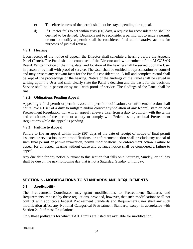- c) The effectiveness of the permit shall not be stayed pending the appeal.
- d) If Director fails to act within sixty (60) days, a request for reconsideration shall be deemed to be denied. Decisions not to reconsider a permit, not to issue a permit, or not to modify a permit shall be considered final administrative actions for purposes of judicial review.

# **4.9.1 Hearing**

Upon receipt of the notice of appeal, the Director shall schedule a hearing before the Appeals Panel (Panel). The Panel shall be composed of the Director and two members of the ALCOSAN Board. Written notice of the time, date, and location of the hearing shall be served upon the User in person or by mail with proof of service. The User shall be entitled to representation by counsel and may present any relevant facts for the Panel's consideration. A full and complete record shall be kept of the proceedings of the hearing. Notice of the findings of the Panel shall be served in writing upon the User and shall clearly state the Panel's decision and the basis for the decision. Service shall be in person or by mail with proof of service. The findings of the Panel shall be final.

# **4.9.2 Obligations Pending Appeal**

Appealing a final permit or permit revocation, permit modifications, or enforcement action shall not relieve a User of a duty to mitigate and/or correct any violation of any federal, state or local Pretreatment Regulation, nor will an appeal relieve a User from a duty to comply with the terms and conditions of the permit or a duty to comply with Federal, state, or local Pretreatment Regulations while the appeal is pending.

#### **4.9.3 Failure to Appeal**

Failure to file an appeal within thirty (30) days of the date of receipt of notice of final permit issuance or revocation, permit modifications, or enforcement action shall preclude any appeal of such final permit or permit revocation, permit modifications, or enforcement action. Failure to appear for an appeal hearing without cause and advance notice shall be considered a failure to appeal.

Any due date for any notice pursuant to this section that falls on a Saturday, Sunday, or holiday shall be due on the next following day that is not a Saturday, Sunday or holiday.

# <span id="page-36-0"></span>**SECTION 5 - MODIFICATIONS TO STANDARDS AND REQUIREMENTS**

#### <span id="page-36-1"></span>**5.1 Applicability**

The Pretreatment Coordinator may grant modifications to Pretreatment Standards and Requirements imposed by these regulations, provided, however, that such modifications shall not conflict with applicable Federal Pretreatment Standards and Requirements, nor shall any such modification affect any National Categorical Pretreatment Standard, except in accordance with Section 2.10 of these Regulations.

<span id="page-36-2"></span>Only those pollutants for which TAIL Limits are listed are available for modification.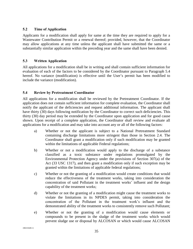#### **5.2 Time of Application**

Applicants for a modification shall apply for same at the time they are required to apply for a Wastewater Contribution Permit or a renewal thereof; provided, however, that the Coordinator may allow applications at any time unless the applicant shall have submitted the same or a substantially similar application within the preceding year and the same shall have been denied.

#### <span id="page-37-0"></span>**5.3 Written Application**

All applications for a modification shall be in writing and shall contain sufficient information for evaluation of each of the factors to be considered by the Coordinator pursuant to Paragraph 5.4 hereof. No variance (modification) is effective until the User's permit has been modified to include the variance (modification).

#### <span id="page-37-1"></span>**5.4 Review by Pretreatment Coordinator**

All applications for a modification shall be reviewed by the Pretreatment Coordinator. If the application does not contain sufficient information for complete evaluation, the Coordinator shall notify the applicant of the deficiencies and request additional information. The applicant shall have thirty (30) days following notification by the Coordinator to correct such deficiencies. This thirty (30) day period may be extended by the Coordinator upon application and for good cause shown. Upon receipt of a complete application, the Coordinator shall review and evaluate all applications for a modification and may take into account any or all of the following factors:

- a) Whether or not the applicant is subject to a National Pretreatment Standard containing discharge limitations more stringent than those in Section 2.4. The Coordinator shall grant a modification only if such modification may be granted within the limitations of applicable Federal regulations;
- b) Whether or not a modification would apply to the discharge of a substance classified as a toxic substance under regulations promulgated by the Environmental Protection Agency under the provisions of Section 307(a) of the Act (33 USC 1317), and then grant a modification only if such exception may be granted within the limitations of applicable federal regulations;
- c) Whether or not the granting of a modification would create conditions that would reduce the effectiveness of the treatment works, taking into consideration the concentration of said Pollutant in the treatment works' influent and the design capability of the treatment works;
- d) Whether or not the granting of a modification might cause the treatment works to violate the limitations in its NPDES permit, taking into consideration the concentration of the Pollutant in the treatment work's influent and the demonstrated ability of the treatment works to consistently remove such Pollutant;
- e) Whether or not the granting of a modification would cause elements or compounds to be present in the sludge of the treatment works which would prevent sludge use or disposal by ALCOSAN or which would cause ALCOSAN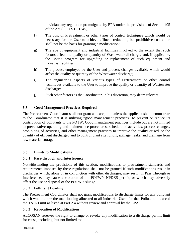to violate any regulation promulgated by EPA under the provisions of Section 405 of the Act (33 U.S.C. 1345);

- f) The cost of Pretreatment or other types of control techniques which would be necessary for the User to achieve effluent reduction, but prohibitive cost alone shall not be the basis for granting a modification;
- g) The age of equipment and industrial facilities involved to the extent that such factors affect the quality or quantity of Wastewater discharge, and, if applicable, the User's program for upgrading or replacement of such equipment and industrial facilities;
- h) The process employed by the User and process changes available which would affect the quality or quantity of the Wastewater discharge;
- i) The engineering aspects of various types of Pretreatment or other control techniques available to the User to improve the quality or quantity of Wastewater discharge;
- j) Such other factors as the Coordinator, in his discretion, may deem relevant.

# <span id="page-38-0"></span>**5.5 Good Management Practices Required**

The Pretreatment Coordinator shall not grant an exception unless the applicant shall demonstrate to the Coordinator that it is utilizing "good management practices" to prevent or reduce its contribution of pollutants to the POTW. Good management practices include but are not limited to preventative operating and maintenance procedures, schedule of activities, process changes, prohibiting of activities, and other management practices to improve the quality or reduce the quantity of effluent discharged and to control plant site runoff, spillage, leaks, and drainage from raw material storage.

# <span id="page-38-1"></span>**5.6 Limits to Modifications**

# **5.6.1 Pass-through and Interference**

Notwithstanding the provisions of this section, modifications to pretreatment standards and requirements imposed by these regulations shall not be granted if such modifications result in discharges which, alone or in conjunction with other discharges, may result in Pass Through or Interference, may cause a violation of the POTW's NPDES permit, or which may adversely affect the use or disposal of the POTW's sludge.

# **5.6.2 Pollutant Loading**

The Pretreatment Coordinator shall not grant modifications to discharge limits for any pollutant which would allow the total loading allocated to all Industrial Users for that Pollutant to exceed the TAIL Limit as listed at Part 2.4 without review and approval by the EPA.

# **5.6.3 Revocation of Modifications**

ALCOSAN reserves the right to change or revoke any modification to a discharge permit limit for cause, including, but not limited to: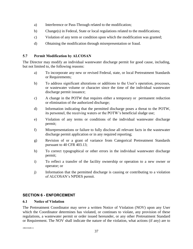- a) Interference or Pass-Through related to the modification;
- b) Change(s) in Federal, State or local regulations related to the modifications;
- c) Violation of any term or condition upon which the modification was granted;
- d) Obtaining the modification through misrepresentation or fraud.

### <span id="page-39-0"></span>**5.7 Permit Modification by ALCOSAN**

The Director may modify an individual wastewater discharge permit for good cause, including, but not limited to, the following reasons:

- a) To incorporate any new or revised Federal, state, or local Pretreatment Standards or Requirements;
- b) To address significant alterations or additions to the User's operation, processes, or wastewater volume or character since the time of the individual wastewater discharge permit issuance;
- c) A change in the POTW that requires either a temporary or permanent reduction or elimination of the authorized discharge;
- d) Information indicating that the permitted discharge poses a threat to the POTW, its personnel, the receiving waters or the POTW's beneficial sludge use;
- e) Violation of any terms or conditions of the individual wastewater discharge permit;
- f) Misrepresentations or failure to fully disclose all relevant facts in the wastewater discharge permit application or in any required reporting;
- g) Revision of or a grant of variance from Categorical Pretreatment Standards pursuant to 40 CFR 403.13;
- h) To correct typographical or other errors in the individual wastewater discharge permit;
- i) To reflect a transfer of the facility ownership or operation to a new owner or operator; or
- j) Information that the permitted discharge is causing or contributing to a violation of ALCOSAN's NPDES permit.

# <span id="page-39-1"></span>**SECTION 6 - ENFORCEMENT**

#### <span id="page-39-2"></span>**6.1 Notice of Violation**

The Pretreatment Coordinator may serve a written Notice of Violation (NOV) upon any User which the Coordinator determines has violated, or continues to violate, any provision of these regulations, a wastewater permit or order issued hereunder, or any other Pretreatment Standard or Requirement. The NOV shall indicate the nature of the violation, what actions (if any) are to

{B0210449.1}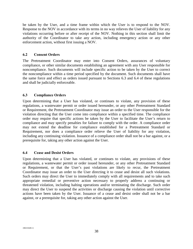be taken by the User, and a time frame within which the User is to respond to the NOV. Response to the NOV in accordance with its terms in no way relieves the User of liability for any violations occurring before or after receipt of the NOV. Nothing in this section shall limit the authority of the Coordinator to take any action, including emergency action or any other enforcement action, without first issuing a NOV.

#### <span id="page-40-0"></span>**6.2 Consent Orders**

The Pretreatment Coordinator may enter into Consent Orders, assurances of voluntary compliance, or other similar documents establishing an agreement with any User responsible for noncompliance. Such documents will include specific action to be taken by the User to correct the noncompliance within a time period specified by the document. Such documents shall have the same force and effect as orders issued pursuant to Sections 6.3 and 6.4 of these regulations and shall be judicially enforceable.

#### <span id="page-40-1"></span>**6.3 Compliance Orders**

Upon determining that a User has violated, or continues to violate, any provision of these regulations, a wastewater permit or order issued hereunder, or any other Pretreatment Standard or Requirement, the Pretreatment Coordinator may issue an order to the User responsible for the violation directing that the User come into compliance within a specified time. The compliance order may require that specific actions be taken by the User to facilitate the User's return to compliance and may specify penalties for failure to comply with the order. A compliance order may not extend the deadline for compliance established for a Pretreatment Standard or Requirement, nor does a compliance order relieve the User of liability for any violation, including any continuing violation. Issuance of a compliance order shall not be a bar against, or a prerequisite for, taking any other action against the User.

#### <span id="page-40-2"></span>**6.4 Cease and Desist Orders**

<span id="page-40-3"></span>Upon determining that a User has violated, or continues to violate, any provisions of these regulations, a wastewater permit or order issued hereunder, or any other Pretreatment Standard or Requirement, or that the User's past violations are likely to recur, the Pretreatment Coordinator may issue an order to the User directing it to cease and desist all such violations. Such orders may direct the User to immediately comply with all requirements and to take such appropriate remedial or preventive action necessary to properly address a continuing or threatened violation, including halting operations and/or terminating the discharge. Such order may direct the User to suspend the activities or discharge causing the violation until corrective actions have been taken by the User. Issuance of a cease and desist order shall not be a bar against, or a prerequisite for, taking any other action against the User.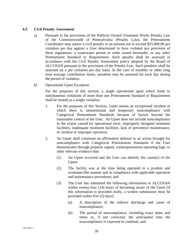#### **6.5 Civil Penalty Assessment**

- a) Pursuant to the provisions of the Publicly Owned Treatment Works Penalty Law of the Commonwealth of Pennsylvania (Penalty Law), the Pretreatment Coordinator may assess a civil penalty in an amount not to exceed \$25,000.00 per violation per day against a User determined to have violated any provision of these regulations, a wastewater permit or order issued hereunder, or any other Pretreatment Standard or Requirement. Such penalty shall be assessed in accordance with the Civil Penalty Assessment policy adopted by the Board of ALCOSAN pursuant to the provisions of the Penalty Law. Such penalties shall be assessed on a per violation per day basis. In the case of monthly or other long term average contribution limits, penalties may be assessed for each day during the period of violation.
- b) Operational Upset Exception

For the purposes of this section, a single operational upset which leads to simultaneous violations of more than one Pretreatment Standard or Requirement shall be treated as a single violation.

- 1. For the purposes of this Section, Upset means an exceptional incident in which there is unintentional and temporary noncompliance with Categorical Pretreatment Standards because of factors beyond the reasonable control of the User. An Upset does not include noncompliance to the extent caused by operational error, improperly designed treatment facilities, inadequate treatment facilities, lack of preventive maintenance, or careless or improper operation.
- 2. An Upset shall constitute an affirmative defense to an action brought for noncompliance with Categorical Pretreatment Standards if the User demonstrates through properly signed, contemporaneous operating logs, or other relevant evidence that:
	- (1) An Upset occurred and the User can identify the cause(s) of the Upset;
	- (2) The facility was at the time being operated in a prudent and workman-like manner and in compliance with applicable operation and maintenance procedures; and
	- (3) The User has submitted the following information to ALCOSAN within twenty-four (24) hours of becoming aware of the Upset [if this information is provided orally, a written submission must be provided within five (5) days]:
		- (a) A description of the indirect discharge and cause of noncompliance;
		- (b) The period of noncompliance, including exact dates and times or, if not corrected, the anticipated time the noncompliance is expected to continue; and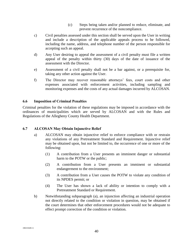- (c) Steps being taken and/or planned to reduce, eliminate, and prevent recurrence of the noncompliance.
- c) Civil penalties assessed under this section shall be served upon the User in writing and include a description of the applicable appeals process to be followed, including the name, address, and telephone number of the person responsible for accepting such an appeal.
- d) Any User desiring to appeal the assessment of a civil penalty must file a written appeal of the penalty within thirty (30) days of the date of issuance of the assessment with the Director.
- e) Assessment of a civil penalty shall not be a bar against, or a prerequisite for, taking any other action against the User.
- f) The Director may recover reasonable attorneys' fees, court costs and other expenses associated with enforcement activities, including sampling and monitoring expenses and the costs of any actual damages incurred by ALCOSAN.

#### <span id="page-42-0"></span>**6.6 Imposition of Criminal Penalties**

Criminal penalties for the violation of these regulations may be imposed in accordance with the ordinances of municipalities which are served by ALCOSAN and with the Rules and Regulations of the Allegheny County Health Department.

#### <span id="page-42-1"></span>**6.7 ALCOSAN May Obtain Injunctive Relief**

- a) ALCOSAN may obtain injunctive relief to enforce compliance with or restrain any violations of any Pretreatment Standard and Requirement. Injunctive relief may be obtained upon, but not be limited to, the occurrence of one or more of the following:
	- (1) A contribution from a User presents an imminent danger or substantial harm to the POTW or the public;
	- (2) A contribution from a User presents an imminent or substantial endangerment to the environment;
	- (3) A contribution from a User causes the POTW to violate any condition of its NPDES permit; or
	- (4) The User has shown a lack of ability or intention to comply with a Pretreatment Standard or Requirement.
- <span id="page-42-2"></span>b) Notwithstanding subparagraph (a), an injunction affecting an industrial operation not directly related to the condition or violation in question, may be obtained if the court determines that other enforcement procedures would not be adequate to effect prompt correction of the condition or violation.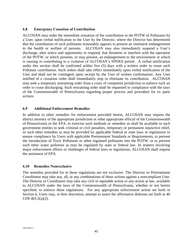#### **6.8 Emergency Cessation of Contribution**

ALCOSAN may order the immediate cessation of the contribution to the POTW of Pollutants by a User, upon verbal notification to the User by the Director, where the Director has determined that the contribution of such pollutants reasonably appears to present an imminent endangerment to the health or welfare of persons. ALCOSAN may also immediately suspend a User's discharge, after notice and opportunity to respond, that threatens to interfere with the operation of the POTW, or which presents, or may present, an endangerment to the environment or which is causing or contributing to a violation of ALCOSAN's NPDES permit. A verbal notification under this section shall be confirmed within five (5) days with a written order to cease such Pollutant contribution. Such orders shall take effect immediately upon verbal notification of the User and shall not be contingent upon receipt by the User of written confirmation. Any User notified of a cessation order shall immediately stop or eliminate its contribution. ALCOSAN may seek a temporary restraining order from a court of competent jurisdiction to enforce such an order to cease discharging. Such restraining order shall be requested in compliance with the laws of the Commonwealth of Pennsylvania regarding proper process and procedure for ex parte actions.

#### <span id="page-43-0"></span>**6.9 Additional Enforcement Remedies**

In addition to other remedies for enforcement provided herein, ALCOSAN may request the district attorney of the appropriate jurisdiction or other appropriate official of the Commonwealth of Pennsylvania or the EPA, to exercise such methods or remedies as shall be available to such government entities to seek criminal or civil penalties, temporary or permanent injunctive relief, or such other remedies as may be provided by applicable federal or state laws or regulations to ensure compliance by Users with applicable Pretreatment Standards or Requirements, to prevent the introduction of Toxic Pollutants or other regulated pollutants into the POTW, or to prevent such other water pollution as may be regulated by state or federal law. In matters involving major enforcement efforts or challenges of federal laws or regulations, ALCOSAN shall request the assistance of EPA.

#### <span id="page-43-1"></span>**6.10 Remedies Nonexclusive**

<span id="page-43-2"></span>The remedies provided for in these regulations are not exclusive. The Director or Pretreatment Coordinator may take any, all, or any combinations of these actions against a noncompliant User. The Director or Coordinator may take any civil or equitable action or any action at law, available to ALCOSAN under the laws of the Commonwealth of Pennsylvania, whether or not herein specified, to enforce these regulations. For any appropriate enforcement action set forth in Section 6, Users may, at their discretion, attempt to assert the affirmative defenses set forth in 40 CFR 403.5(a)(2).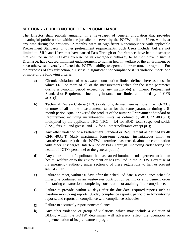# **SECTION 7 - PUBLIC NOTICE OF NON COMPLIANCE**

The Director shall publish annually, in a newspaper of general circulation that provides meaningful public notice within the jurisdiction served by the POTW, a list of Users which, at any time during the previous 12 months, were in Significant Noncompliance with applicable Pretreatment Standards or other pretreatment requirements. Such Users include, but are not limited to, SIUs and Users that have caused Pass Through or Interference, have had a discharge that resulted in the POTW's exercise of its emergency authority to halt or prevent such a Discharge, have caused imminent endangerment to human health, welfare or the environment or have otherwise adversely affected the POTW's ability to operate its pretreatment program. For the purposes of this subsection, a User is in significant noncompliance if its violation meets one or more of the following criteria:

- a) Chronic violations of wastewater contribution limits, defined here as those in which 66% or more of all of the measurements taken for the same parameter during a 6-month period exceed (by any magnitude) a numeric Pretreatment Standard or Requirement including instantaneous limits, as defined by 40 CFR 403.3(l);
- b) Technical Review Criteria (TRC) violations, defined here as those in which 33% or more of all of the measurements taken for the same parameter during a 6 month period equal or exceed the product of the numeric Pretreatment Standard or Requirement including instantaneous limits, as defined by 40 CFR 403.3 (l) multiplied by the applicable TRC (TRC  $= 1.4$  for BOD, total suspended solids (TSS), fats, oil and grease, and 1.2 for all other pollutants except pH);
- c) Any other violation of a Pretreatment Standard or Requirement as defined by 40 CFR 403.3(l) (daily maximum, long-term average, instantaneous limit, or narrative Standard) that the POTW determines has caused, alone or combination with other Discharges, Interference or Pass Through (including endangering the health of POTW personnel or the general public);
- d) Any contribution of a pollutant that has caused imminent endangerment to human health, welfare or to the environment or has resulted in the POTW's exercise of its emergency authority under section 6 of these regulations to halt or prevent such a contribution;
- e) Failure to meet, within 90 days after the scheduled date, a compliance schedule milestone contained in an wastewater contribution permit or enforcement order for starting construction, completing construction or attaining final compliance;
- f) Failure to provide, within 45 days after the due date, required reports such as baseline monitoring reports, 90-day compliance reports, periodic self-monitoring reports, and reports on compliance with compliance schedules;
- g) Failure to accurately report noncompliance;
- h) Any other violation or group of violations, which may include a violation of BMPs, which the POTW determines will adversely affect the operation or implementation of its pretreatment program.